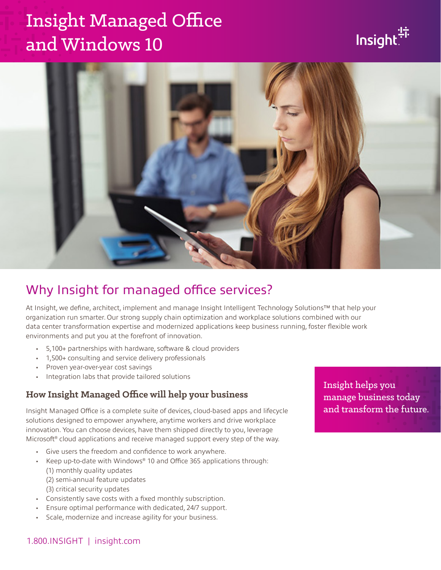# Insight Managed Office and Windows 10





## Why Insight for managed office services?

At Insight, we define, architect, implement and manage Insight Intelligent Technology Solutions™ that help your organization run smarter. Our strong supply chain optimization and workplace solutions combined with our data center transformation expertise and modernized applications keep business running, foster flexible work environments and put you at the forefront of innovation.

- 5,100+ partnerships with hardware, software & cloud providers
- 1,500+ consulting and service delivery professionals
- Proven year-over-year cost savings
- Integration labs that provide tailored solutions

#### **How Insight Managed Office will help your business**

Insight Managed Office is a complete suite of devices, cloud-based apps and lifecycle solutions designed to empower anywhere, anytime workers and drive workplace innovation. You can choose devices, have them shipped directly to you, leverage Microsoft<sup>®</sup> cloud applications and receive managed support every step of the way.

- Give users the freedom and confidence to work anywhere.
- Keep up-to-date with Windows® 10 and Office 365 applications through: (1) monthly quality updates (2) semi-annual feature updates
	- (3) critical security updates
- Consistently save costs with a fixed monthly subscription.
- Ensure optimal performance with dedicated, 24/7 support.
- Scale, modernize and increase agility for your business.

Insight helps you manage business today and transform the future.

#### 1.800.INSIGHT | insight.com